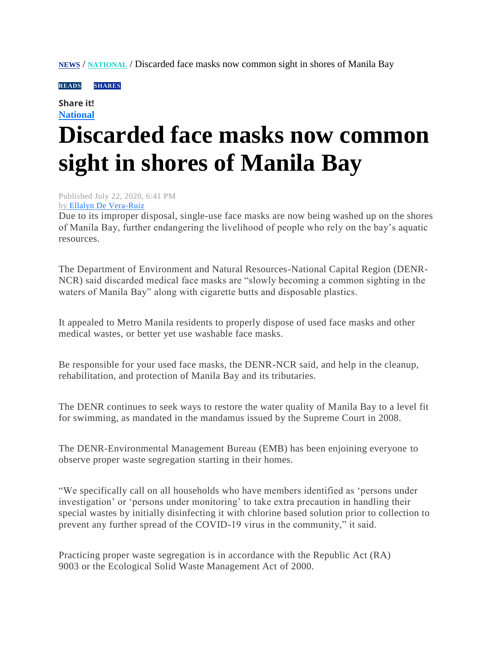**[NEWS](https://mb.com.ph/category/news/)** / **[NATIONAL](https://mb.com.ph/category/news/national/)** / Discarded face masks now common sight in shores of Manila Bay

**READS** SHARES

## **Share it! [National](https://mb.com.ph/category/news/national/)**

## **Discarded face masks now common sight in shores of Manila Bay**

Published July 22, 2020, 6:41 PM by [Ellalyn De Vera-Ruiz](https://mb.com.ph/author/ellalyn-de-vera-ruiz)

Due to its improper disposal, single-use face masks are now being washed up on the shores of Manila Bay, further endangering the livelihood of people who rely on the bay"s aquatic resources.

The Department of Environment and Natural Resources-National Capital Region (DENR-NCR) said discarded medical face masks are "slowly becoming a common sighting in the waters of Manila Bay" along with cigarette butts and disposable plastics.

It appealed to Metro Manila residents to properly dispose of used face masks and other medical wastes, or better yet use washable face masks.

Be responsible for your used face masks, the DENR-NCR said, and help in the cleanup, rehabilitation, and protection of Manila Bay and its tributaries.

The DENR continues to seek ways to restore the water quality of Manila Bay to a level fit for swimming, as mandated in the mandamus issued by the Supreme Court in 2008.

The DENR-Environmental Management Bureau (EMB) has been enjoining everyone to observe proper waste segregation starting in their homes.

"We specifically call on all households who have members identified as "persons under investigation" or "persons under monitoring" to take extra precaution in handling their special wastes by initially disinfecting it with chlorine based solution prior to collection to prevent any further spread of the COVID-19 virus in the community," it said.

Practicing proper waste segregation is in accordance with the Republic Act (RA) 9003 or the Ecological Solid Waste Management Act of 2000.